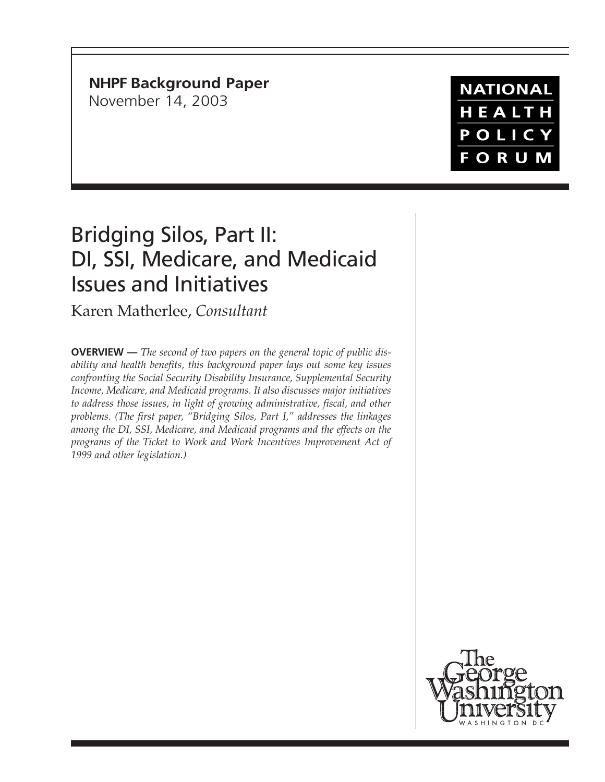## **NHPF Background Paper**

November 14, 2003

## **NATIONAL** HEALTH POLICY FORUM

# Bridging Silos, Part II: DI, SSI, Medicare, and Medicaid Issues and Initiatives

Karen Matherlee, *Consultant*

**OVERVIEW —** *The second of two papers on the general topic of public disability and health benefits, this background paper lays out some key issues confronting the Social Security Disability Insurance, Supplemental Security Income, Medicare, and Medicaid programs. It also discusses major initiatives to address those issues, in light of growing administrative, fiscal, and other problems. (The first paper, "Bridging Silos, Part I," addresses the linkages among the DI, SSI, Medicare, and Medicaid programs and the effects on the programs of the Ticket to Work and Work Incentives Improvement Act of 1999 and other legislation.)*

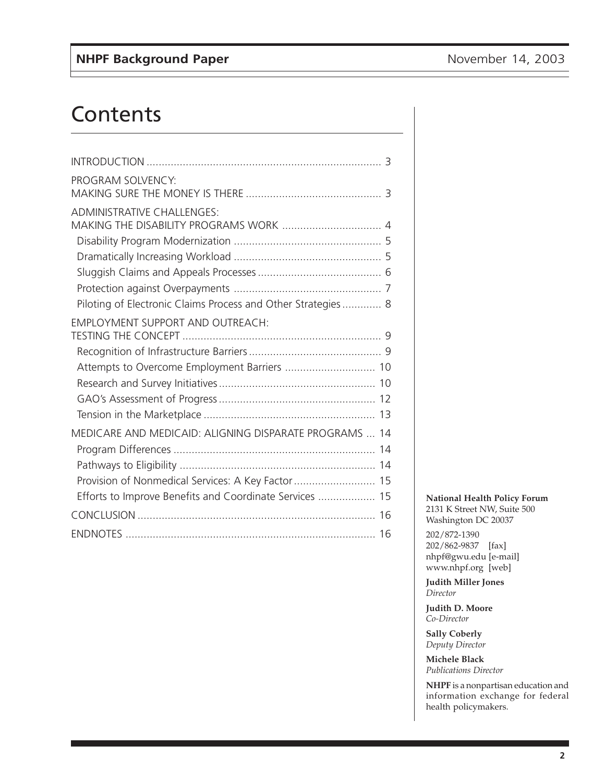## Contents

| PROGRAM SOLVENCY:                                            |  |
|--------------------------------------------------------------|--|
|                                                              |  |
| <b>ADMINISTRATIVE CHALLENGES:</b>                            |  |
|                                                              |  |
|                                                              |  |
|                                                              |  |
|                                                              |  |
|                                                              |  |
| Piloting of Electronic Claims Process and Other Strategies 8 |  |
| <b>EMPLOYMENT SUPPORT AND OUTREACH:</b>                      |  |
|                                                              |  |
|                                                              |  |
| Attempts to Overcome Employment Barriers  10                 |  |
|                                                              |  |
|                                                              |  |
|                                                              |  |
| MEDICARE AND MEDICAID: ALIGNING DISPARATE PROGRAMS  14       |  |
|                                                              |  |
|                                                              |  |
| Provision of Nonmedical Services: A Key Factor  15           |  |
| Efforts to Improve Benefits and Coordinate Services  15      |  |
|                                                              |  |
|                                                              |  |
|                                                              |  |

#### **National Health Policy Forum**

2131 K Street NW, Suite 500 Washington DC 20037

202/872-1390 202/862-9837 [fax] nhpf@gwu.edu [e-mail] www.nhpf.org [web]

**Judith Miller Jones** *Director*

**Judith D. Moore** *Co-Director*

**Sally Coberly** *Deputy Director*

**Michele Black** *Publications Director*

**NHPF** is a nonpartisan education and information exchange for federal health policymakers.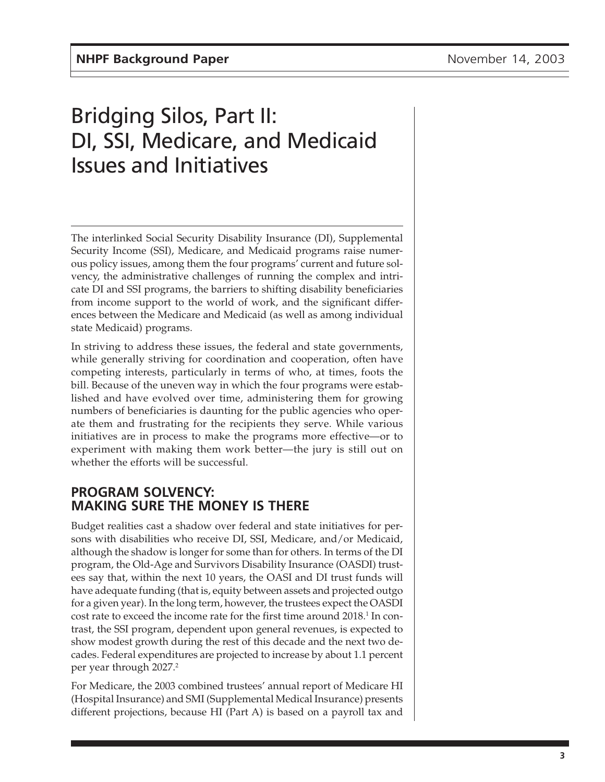# <span id="page-2-0"></span>Bridging Silos, Part II: DI, SSI, Medicare, and Medicaid Issues and Initiatives

The interlinked Social Security Disability Insurance (DI), Supplemental Security Income (SSI), Medicare, and Medicaid programs raise numerous policy issues, among them the four programs' current and future solvency, the administrative challenges of running the complex and intricate DI and SSI programs, the barriers to shifting disability beneficiaries from income support to the world of work, and the significant differences between the Medicare and Medicaid (as well as among individual state Medicaid) programs.

In striving to address these issues, the federal and state governments, while generally striving for coordination and cooperation, often have competing interests, particularly in terms of who, at times, foots the bill. Because of the uneven way in which the four programs were established and have evolved over time, administering them for growing numbers of beneficiaries is daunting for the public agencies who operate them and frustrating for the recipients they serve. While various initiatives are in process to make the programs more effective—or to experiment with making them work better—the jury is still out on whether the efforts will be successful.

## **PROGRAM SOLVENCY: MAKING SURE THE MONEY IS THERE**

Budget realities cast a shadow over federal and state initiatives for persons with disabilities who receive DI, SSI, Medicare, and/or Medicaid, although the shadow is longer for some than for others. In terms of the DI program, the Old-Age and Survivors Disability Insurance (OASDI) trustees say that, within the next 10 years, the OASI and DI trust funds will have adequate funding (that is, equity between assets and projected outgo for a given year). In the long term, however, the trustees expect the OASDI cost rate to exceed the income rate for the first time around  $2018.^1$  In contrast, the SSI program, dependent upon general revenues, is expected to show modest growth during the rest of this decade and the next two decades. Federal expenditures are projected to increase by about 1.1 percent per year through 2027.<sup>2</sup>

For Medicare, the 2003 combined trustees' annual report of Medicare HI (Hospital Insurance) and SMI (Supplemental Medical Insurance) presents different projections, because HI (Part A) is based on a payroll tax and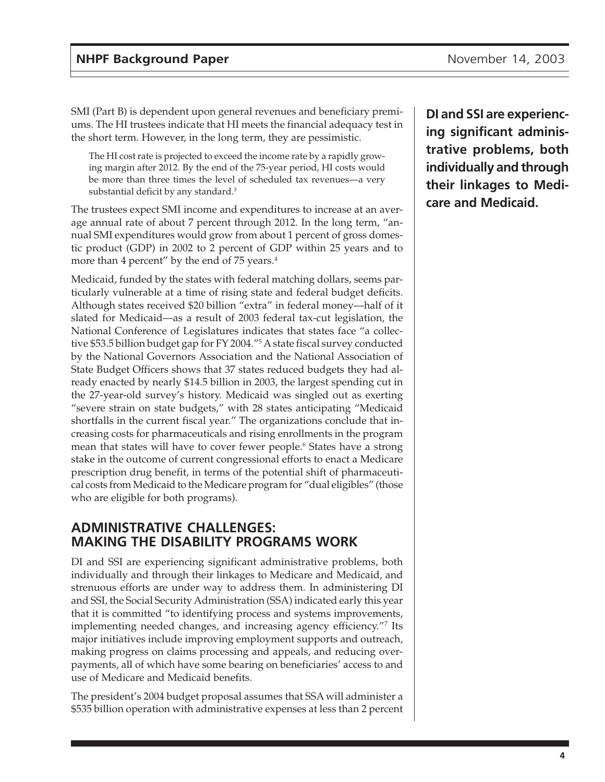<span id="page-3-0"></span>SMI (Part B) is dependent upon general revenues and beneficiary premiums. The HI trustees indicate that HI meets the financial adequacy test in the short term. However, in the long term, they are pessimistic.

The HI cost rate is projected to exceed the income rate by a rapidly growing margin after 2012. By the end of the 75-year period, HI costs would be more than three times the level of scheduled tax revenues—a very substantial deficit by any standard.<sup>3</sup>

The trustees expect SMI income and expenditures to increase at an average annual rate of about 7 percent through 2012. In the long term, "annual SMI expenditures would grow from about 1 percent of gross domestic product (GDP) in 2002 to 2 percent of GDP within 25 years and to more than 4 percent" by the end of 75 years.<sup>4</sup>

Medicaid, funded by the states with federal matching dollars, seems particularly vulnerable at a time of rising state and federal budget deficits. Although states received \$20 billion "extra" in federal money—half of it slated for Medicaid—as a result of 2003 federal tax-cut legislation, the National Conference of Legislatures indicates that states face "a collective \$53.5 billion budget gap for FY 2004."5 A state fiscal survey conducted by the National Governors Association and the National Association of State Budget Officers shows that 37 states reduced budgets they had already enacted by nearly \$14.5 billion in 2003, the largest spending cut in the 27-year-old survey's history. Medicaid was singled out as exerting "severe strain on state budgets," with 28 states anticipating "Medicaid shortfalls in the current fiscal year." The organizations conclude that increasing costs for pharmaceuticals and rising enrollments in the program mean that states will have to cover fewer people.6 States have a strong stake in the outcome of current congressional efforts to enact a Medicare prescription drug benefit, in terms of the potential shift of pharmaceutical costs from Medicaid to the Medicare program for "dual eligibles" (those who are eligible for both programs).

## **ADMINISTRATIVE CHALLENGES: MAKING THE DISABILITY PROGRAMS WORK**

DI and SSI are experiencing significant administrative problems, both individually and through their linkages to Medicare and Medicaid, and strenuous efforts are under way to address them. In administering DI and SSI, the Social Security Administration (SSA) indicated early this year that it is committed "to identifying process and systems improvements, implementing needed changes, and increasing agency efficiency."7 Its major initiatives include improving employment supports and outreach, making progress on claims processing and appeals, and reducing overpayments, all of which have some bearing on beneficiaries' access to and use of Medicare and Medicaid benefits.

The president's 2004 budget proposal assumes that SSA will administer a \$535 billion operation with administrative expenses at less than 2 percent

**DI and SSI are experiencing significant administrative problems, both individually and through their linkages to Medicare and Medicaid.**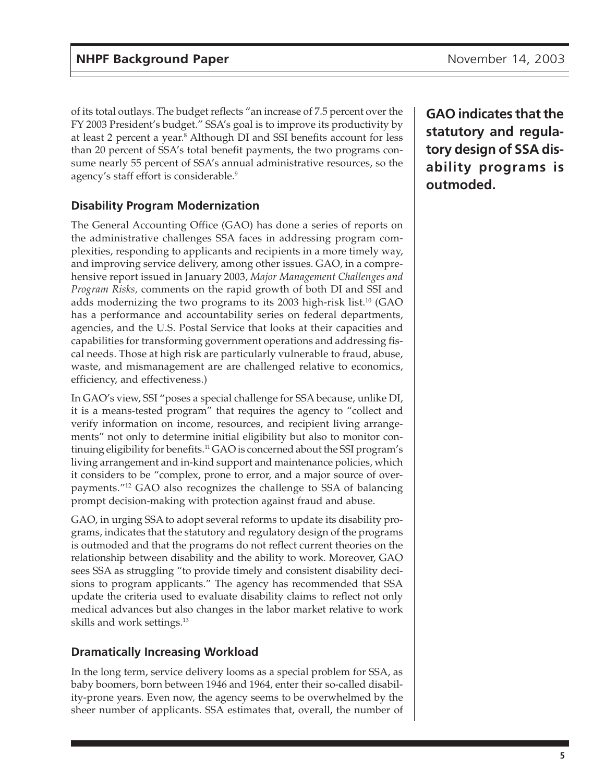<span id="page-4-0"></span>of its total outlays. The budget reflects "an increase of 7.5 percent over the FY 2003 President's budget." SSA's goal is to improve its productivity by at least 2 percent a year.<sup>8</sup> Although DI and SSI benefits account for less than 20 percent of SSA's total benefit payments, the two programs consume nearly 55 percent of SSA's annual administrative resources, so the agency's staff effort is considerable.9

## **Disability Program Modernization**

The General Accounting Office (GAO) has done a series of reports on the administrative challenges SSA faces in addressing program complexities, responding to applicants and recipients in a more timely way, and improving service delivery, among other issues. GAO, in a comprehensive report issued in January 2003, *Major Management Challenges and Program Risks,* comments on the rapid growth of both DI and SSI and adds modernizing the two programs to its 2003 high-risk list.<sup>10</sup> (GAO has a performance and accountability series on federal departments, agencies, and the U.S. Postal Service that looks at their capacities and capabilities for transforming government operations and addressing fiscal needs. Those at high risk are particularly vulnerable to fraud, abuse, waste, and mismanagement are are challenged relative to economics, efficiency, and effectiveness.)

In GAO's view, SSI "poses a special challenge for SSA because, unlike DI, it is a means-tested program" that requires the agency to "collect and verify information on income, resources, and recipient living arrangements" not only to determine initial eligibility but also to monitor continuing eligibility for benefits.<sup>11</sup> GAO is concerned about the SSI program's living arrangement and in-kind support and maintenance policies, which it considers to be "complex, prone to error, and a major source of overpayments."12 GAO also recognizes the challenge to SSA of balancing prompt decision-making with protection against fraud and abuse.

GAO, in urging SSA to adopt several reforms to update its disability programs, indicates that the statutory and regulatory design of the programs is outmoded and that the programs do not reflect current theories on the relationship between disability and the ability to work. Moreover, GAO sees SSA as struggling "to provide timely and consistent disability decisions to program applicants." The agency has recommended that SSA update the criteria used to evaluate disability claims to reflect not only medical advances but also changes in the labor market relative to work skills and work settings.<sup>13</sup>

### **Dramatically Increasing Workload**

In the long term, service delivery looms as a special problem for SSA, as baby boomers, born between 1946 and 1964, enter their so-called disability-prone years. Even now, the agency seems to be overwhelmed by the sheer number of applicants. SSA estimates that, overall, the number of

**GAO indicates that the statutory and regulatory design of SSA disability programs is outmoded.**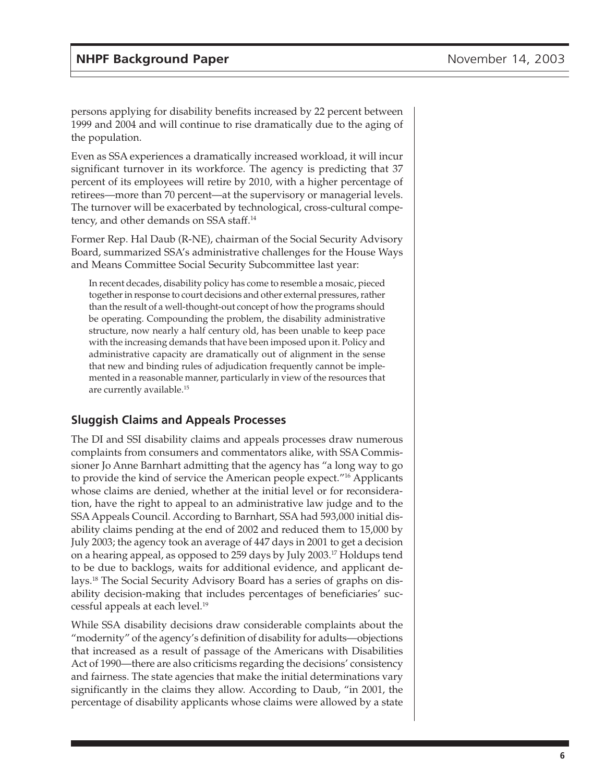<span id="page-5-0"></span>persons applying for disability benefits increased by 22 percent between 1999 and 2004 and will continue to rise dramatically due to the aging of the population.

Even as SSA experiences a dramatically increased workload, it will incur significant turnover in its workforce. The agency is predicting that 37 percent of its employees will retire by 2010, with a higher percentage of retirees—more than 70 percent—at the supervisory or managerial levels. The turnover will be exacerbated by technological, cross-cultural competency, and other demands on SSA staff.14

Former Rep. Hal Daub (R-NE), chairman of the Social Security Advisory Board, summarized SSA's administrative challenges for the House Ways and Means Committee Social Security Subcommittee last year:

In recent decades, disability policy has come to resemble a mosaic, pieced together in response to court decisions and other external pressures, rather than the result of a well-thought-out concept of how the programs should be operating. Compounding the problem, the disability administrative structure, now nearly a half century old, has been unable to keep pace with the increasing demands that have been imposed upon it. Policy and administrative capacity are dramatically out of alignment in the sense that new and binding rules of adjudication frequently cannot be implemented in a reasonable manner, particularly in view of the resources that are currently available.15

### **Sluggish Claims and Appeals Processes**

The DI and SSI disability claims and appeals processes draw numerous complaints from consumers and commentators alike, with SSA Commissioner Jo Anne Barnhart admitting that the agency has "a long way to go to provide the kind of service the American people expect."16 Applicants whose claims are denied, whether at the initial level or for reconsideration, have the right to appeal to an administrative law judge and to the SSA Appeals Council. According to Barnhart, SSA had 593,000 initial disability claims pending at the end of 2002 and reduced them to 15,000 by July 2003; the agency took an average of 447 days in 2001 to get a decision on a hearing appeal, as opposed to 259 days by July 2003.17 Holdups tend to be due to backlogs, waits for additional evidence, and applicant delays.18 The Social Security Advisory Board has a series of graphs on disability decision-making that includes percentages of beneficiaries' successful appeals at each level.19

While SSA disability decisions draw considerable complaints about the "modernity" of the agency's definition of disability for adults—objections that increased as a result of passage of the Americans with Disabilities Act of 1990—there are also criticisms regarding the decisions' consistency and fairness. The state agencies that make the initial determinations vary significantly in the claims they allow. According to Daub, "in 2001, the percentage of disability applicants whose claims were allowed by a state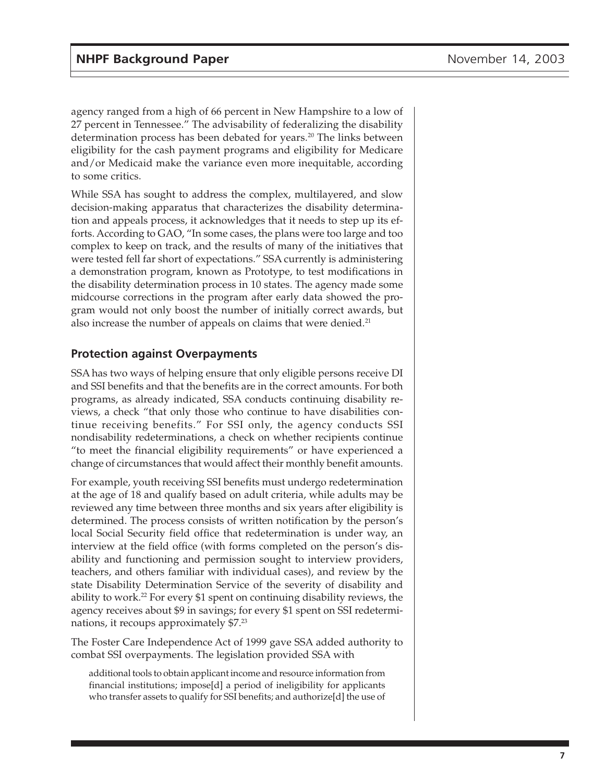<span id="page-6-0"></span>agency ranged from a high of 66 percent in New Hampshire to a low of 27 percent in Tennessee." The advisability of federalizing the disability determination process has been debated for years.<sup>20</sup> The links between eligibility for the cash payment programs and eligibility for Medicare and/or Medicaid make the variance even more inequitable, according to some critics.

While SSA has sought to address the complex, multilayered, and slow decision-making apparatus that characterizes the disability determination and appeals process, it acknowledges that it needs to step up its efforts. According to GAO, "In some cases, the plans were too large and too complex to keep on track, and the results of many of the initiatives that were tested fell far short of expectations." SSA currently is administering a demonstration program, known as Prototype, to test modifications in the disability determination process in 10 states. The agency made some midcourse corrections in the program after early data showed the program would not only boost the number of initially correct awards, but also increase the number of appeals on claims that were denied.<sup>21</sup>

### **Protection against Overpayments**

SSA has two ways of helping ensure that only eligible persons receive DI and SSI benefits and that the benefits are in the correct amounts. For both programs, as already indicated, SSA conducts continuing disability reviews, a check "that only those who continue to have disabilities continue receiving benefits." For SSI only, the agency conducts SSI nondisability redeterminations, a check on whether recipients continue "to meet the financial eligibility requirements" or have experienced a change of circumstances that would affect their monthly benefit amounts.

For example, youth receiving SSI benefits must undergo redetermination at the age of 18 and qualify based on adult criteria, while adults may be reviewed any time between three months and six years after eligibility is determined. The process consists of written notification by the person's local Social Security field office that redetermination is under way, an interview at the field office (with forms completed on the person's disability and functioning and permission sought to interview providers, teachers, and others familiar with individual cases), and review by the state Disability Determination Service of the severity of disability and ability to work.<sup>22</sup> For every \$1 spent on continuing disability reviews, the agency receives about \$9 in savings; for every \$1 spent on SSI redeterminations, it recoups approximately \$7.23

The Foster Care Independence Act of 1999 gave SSA added authority to combat SSI overpayments. The legislation provided SSA with

additional tools to obtain applicant income and resource information from financial institutions; impose[d] a period of ineligibility for applicants who transfer assets to qualify for SSI benefits; and authorize[d] the use of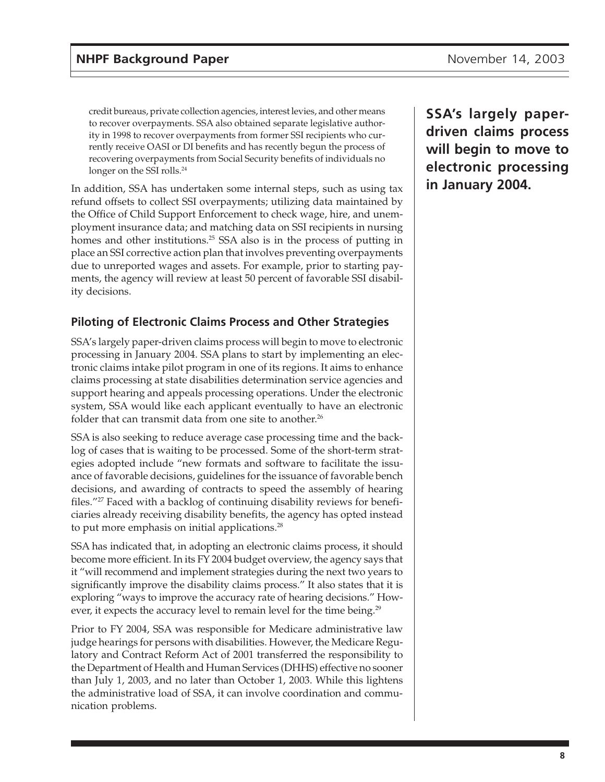<span id="page-7-0"></span>credit bureaus, private collection agencies, interest levies, and other means to recover overpayments. SSA also obtained separate legislative authority in 1998 to recover overpayments from former SSI recipients who currently receive OASI or DI benefits and has recently begun the process of recovering overpayments from Social Security benefits of individuals no longer on the SSI rolls.<sup>24</sup>

In addition, SSA has undertaken some internal steps, such as using tax refund offsets to collect SSI overpayments; utilizing data maintained by the Office of Child Support Enforcement to check wage, hire, and unemployment insurance data; and matching data on SSI recipients in nursing homes and other institutions.<sup>25</sup> SSA also is in the process of putting in place an SSI corrective action plan that involves preventing overpayments due to unreported wages and assets. For example, prior to starting payments, the agency will review at least 50 percent of favorable SSI disability decisions.

## **Piloting of Electronic Claims Process and Other Strategies**

SSA's largely paper-driven claims process will begin to move to electronic processing in January 2004. SSA plans to start by implementing an electronic claims intake pilot program in one of its regions. It aims to enhance claims processing at state disabilities determination service agencies and support hearing and appeals processing operations. Under the electronic system, SSA would like each applicant eventually to have an electronic folder that can transmit data from one site to another.<sup>26</sup>

SSA is also seeking to reduce average case processing time and the backlog of cases that is waiting to be processed. Some of the short-term strategies adopted include "new formats and software to facilitate the issuance of favorable decisions, guidelines for the issuance of favorable bench decisions, and awarding of contracts to speed the assembly of hearing files."<sup>27</sup> Faced with a backlog of continuing disability reviews for beneficiaries already receiving disability benefits, the agency has opted instead to put more emphasis on initial applications.<sup>28</sup>

SSA has indicated that, in adopting an electronic claims process, it should become more efficient. In its FY 2004 budget overview, the agency says that it "will recommend and implement strategies during the next two years to significantly improve the disability claims process." It also states that it is exploring "ways to improve the accuracy rate of hearing decisions." However, it expects the accuracy level to remain level for the time being.<sup>29</sup>

Prior to FY 2004, SSA was responsible for Medicare administrative law judge hearings for persons with disabilities. However, the Medicare Regulatory and Contract Reform Act of 2001 transferred the responsibility to the Department of Health and Human Services (DHHS) effective no sooner than July 1, 2003, and no later than October 1, 2003. While this lightens the administrative load of SSA, it can involve coordination and communication problems.

**SSA's largely paperdriven claims process will begin to move to electronic processing in January 2004.**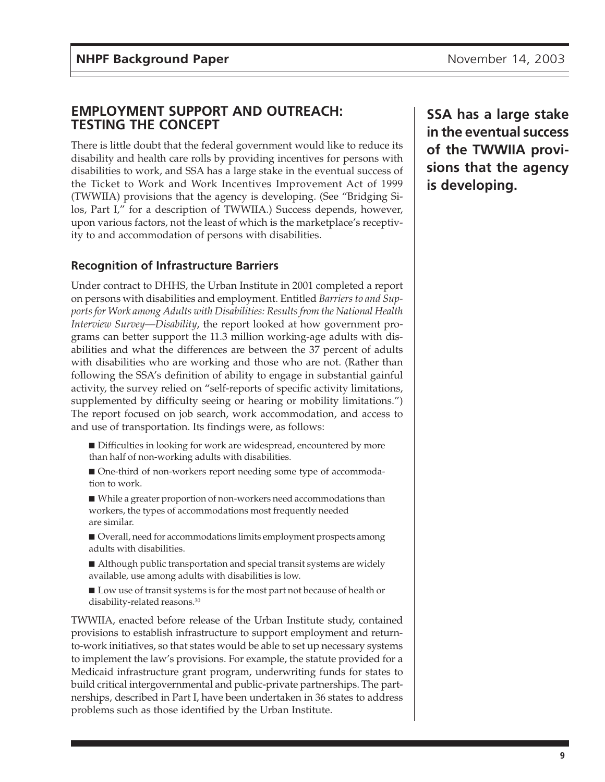### <span id="page-8-0"></span>**EMPLOYMENT SUPPORT AND OUTREACH: TESTING THE CONCEPT**

There is little doubt that the federal government would like to reduce its disability and health care rolls by providing incentives for persons with disabilities to work, and SSA has a large stake in the eventual success of the Ticket to Work and Work Incentives Improvement Act of 1999 (TWWIIA) provisions that the agency is developing. (See "Bridging Silos, Part I," for a description of TWWIIA.) Success depends, however, upon various factors, not the least of which is the marketplace's receptivity to and accommodation of persons with disabilities.

### **Recognition of Infrastructure Barriers**

Under contract to DHHS, the Urban Institute in 2001 completed a report on persons with disabilities and employment. Entitled *Barriers to and Supports for Work among Adults with Disabilities: Results from the National Health Interview Survey—Disability*, the report looked at how government programs can better support the 11.3 million working-age adults with disabilities and what the differences are between the 37 percent of adults with disabilities who are working and those who are not. (Rather than following the SSA's definition of ability to engage in substantial gainful activity, the survey relied on "self-reports of specific activity limitations, supplemented by difficulty seeing or hearing or mobility limitations.") The report focused on job search, work accommodation, and access to and use of transportation. Its findings were, as follows:

- Difficulties in looking for work are widespread, encountered by more than half of non-working adults with disabilities.
- One-third of non-workers report needing some type of accommodation to work.
- While a greater proportion of non-workers need accommodations than workers, the types of accommodations most frequently needed are similar.
- Overall, need for accommodations limits employment prospects among adults with disabilities.
- Although public transportation and special transit systems are widely available, use among adults with disabilities is low.
- Low use of transit systems is for the most part not because of health or disability-related reasons.<sup>30</sup>

TWWIIA, enacted before release of the Urban Institute study, contained provisions to establish infrastructure to support employment and returnto-work initiatives, so that states would be able to set up necessary systems to implement the law's provisions. For example, the statute provided for a Medicaid infrastructure grant program, underwriting funds for states to build critical intergovernmental and public-private partnerships. The partnerships, described in Part I, have been undertaken in 36 states to address problems such as those identified by the Urban Institute.

**SSA has a large stake in the eventual success of the TWWIIA provisions that the agency is developing.**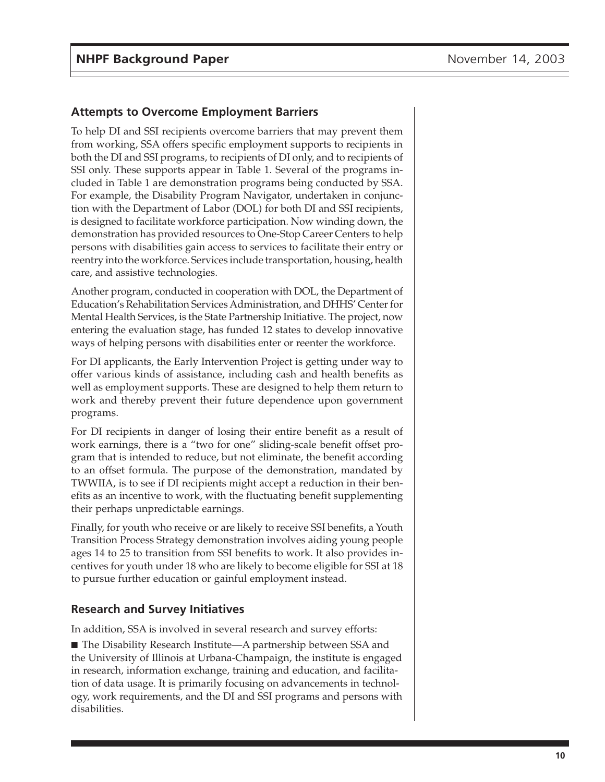#### <span id="page-9-0"></span>**Attempts to Overcome Employment Barriers**

To help DI and SSI recipients overcome barriers that may prevent them from working, SSA offers specific employment supports to recipients in both the DI and SSI programs, to recipients of DI only, and to recipients of SSI only. These supports appear in Table 1. Several of the programs included in Table 1 are demonstration programs being conducted by SSA. For example, the Disability Program Navigator, undertaken in conjunction with the Department of Labor (DOL) for both DI and SSI recipients, is designed to facilitate workforce participation. Now winding down, the demonstration has provided resources to One-Stop Career Centers to help persons with disabilities gain access to services to facilitate their entry or reentry into the workforce. Services include transportation, housing, health care, and assistive technologies.

Another program, conducted in cooperation with DOL, the Department of Education's Rehabilitation Services Administration, and DHHS' Center for Mental Health Services, is the State Partnership Initiative. The project, now entering the evaluation stage, has funded 12 states to develop innovative ways of helping persons with disabilities enter or reenter the workforce.

For DI applicants, the Early Intervention Project is getting under way to offer various kinds of assistance, including cash and health benefits as well as employment supports. These are designed to help them return to work and thereby prevent their future dependence upon government programs.

For DI recipients in danger of losing their entire benefit as a result of work earnings, there is a "two for one" sliding-scale benefit offset program that is intended to reduce, but not eliminate, the benefit according to an offset formula. The purpose of the demonstration, mandated by TWWIIA, is to see if DI recipients might accept a reduction in their benefits as an incentive to work, with the fluctuating benefit supplementing their perhaps unpredictable earnings.

Finally, for youth who receive or are likely to receive SSI benefits, a Youth Transition Process Strategy demonstration involves aiding young people ages 14 to 25 to transition from SSI benefits to work. It also provides incentives for youth under 18 who are likely to become eligible for SSI at 18 to pursue further education or gainful employment instead.

#### **Research and Survey Initiatives**

In addition, SSA is involved in several research and survey efforts:

■ The Disability Research Institute—A partnership between SSA and the University of Illinois at Urbana-Champaign, the institute is engaged in research, information exchange, training and education, and facilitation of data usage. It is primarily focusing on advancements in technology, work requirements, and the DI and SSI programs and persons with disabilities.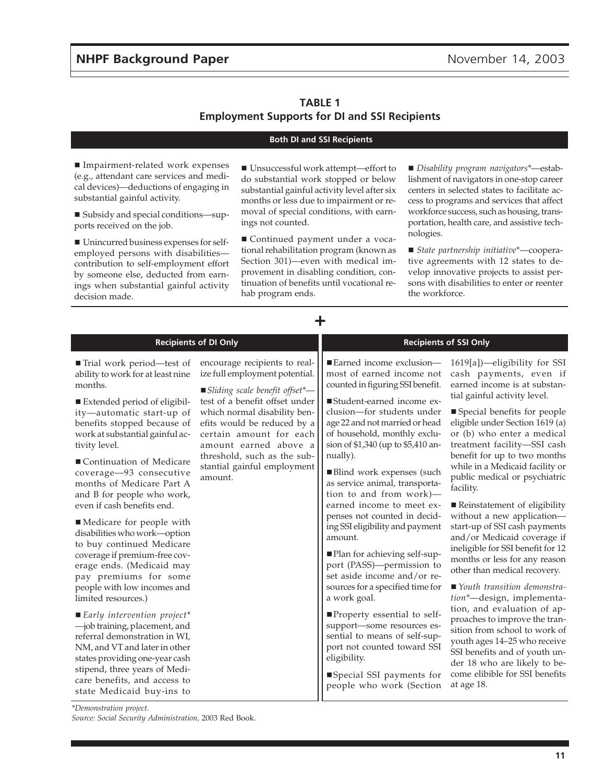#### **TABLE 1 Employment Supports for DI and SSI Recipients**

#### **Both DI and SSI Recipients**

■ Impairment-related work expenses (e.g., attendant care services and medical devices)—deductions of engaging in substantial gainful activity.

 Subsidy and special conditions—supports received on the job.

 Unincurred business expenses for selfemployed persons with disabilities contribution to self-employment effort by someone else, deducted from earnings when substantial gainful activity decision made.

■ Unsuccessful work attempt—effort to do substantial work stopped or below substantial gainful activity level after six months or less due to impairment or removal of special conditions, with earnings not counted.

■ Continued payment under a vocational rehabilitation program (known as Section 301)—even with medical improvement in disabling condition, continuation of benefits until vocational rehab program ends.

**+**

 *Disability program navigators\**—establishment of navigators in one-stop career centers in selected states to facilitate access to programs and services that affect workforce success, such as housing, transportation, health care, and assistive technologies.

 *State partnership initiative\**—cooperative agreements with 12 states to develop innovative projects to assist persons with disabilities to enter or reenter the workforce.

| <b>Recipients of DI Only</b>                                                                                                                                                                                                                                                                         |                                                                                                                                                                                          | <b>Recipients of SSI Only</b>                                                                                                                                                                                                                             |                                                                                                                                                                                                                                                                                                  |  |
|------------------------------------------------------------------------------------------------------------------------------------------------------------------------------------------------------------------------------------------------------------------------------------------------------|------------------------------------------------------------------------------------------------------------------------------------------------------------------------------------------|-----------------------------------------------------------------------------------------------------------------------------------------------------------------------------------------------------------------------------------------------------------|--------------------------------------------------------------------------------------------------------------------------------------------------------------------------------------------------------------------------------------------------------------------------------------------------|--|
| ■ Trial work period—test of<br>ability to work for at least nine<br>months.<br>Extended period of eligibil-                                                                                                                                                                                          | encourage recipients to real-<br>ize full employment potential.<br>Sliding scale benefit offset*-<br>test of a benefit offset under                                                      | ■ Earned income exclusion-<br>most of earned income not<br>counted in figuring SSI benefit.<br>■Student-earned income ex-                                                                                                                                 | $1619[a]$ -eligibility for SSI<br>cash payments, even if<br>earned income is at substan-<br>tial gainful activity level.                                                                                                                                                                         |  |
| ity-automatic start-up of<br>benefits stopped because of<br>work at substantial gainful ac-<br>tivity level.                                                                                                                                                                                         | which normal disability ben-<br>efits would be reduced by a<br>certain amount for each<br>amount earned above a<br>threshold, such as the sub-<br>stantial gainful employment<br>amount. | clusion-for students under<br>age 22 and not married or head<br>of household, monthly exclu-<br>sion of \$1,340 (up to \$5,410 an-                                                                                                                        | ■ Special benefits for people<br>eligible under Section 1619 (a)<br>or (b) who enter a medical<br>treatment facility-SSI cash                                                                                                                                                                    |  |
| ■ Continuation of Medicare<br>coverage-93 consecutive<br>months of Medicare Part A<br>and B for people who work,                                                                                                                                                                                     |                                                                                                                                                                                          | nually).<br>■Blind work expenses (such<br>as service animal, transporta-<br>tion to and from work)-                                                                                                                                                       | benefit for up to two months<br>while in a Medicaid facility or<br>public medical or psychiatric<br>facility.                                                                                                                                                                                    |  |
| even if cash benefits end.<br>Medicare for people with<br>disabilities who work-option<br>to buy continued Medicare<br>coverage if premium-free cov-<br>erage ends. (Medicaid may<br>pay premiums for some<br>people with low incomes and                                                            |                                                                                                                                                                                          | earned income to meet ex-<br>penses not counted in decid-<br>ing SSI eligibility and payment<br>amount.<br>■ Plan for achieving self-sup-<br>port (PASS)-permission to<br>set aside income and/or re-<br>sources for a specified time for<br>a work goal. | ■ Reinstatement of eligibility<br>without a new application-<br>start-up of SSI cash payments<br>and/or Medicaid coverage if<br>ineligible for SSI benefit for 12<br>months or less for any reason<br>other than medical recovery.<br>■ Youth transition demonstra-<br>tion*-design, implementa- |  |
| limited resources.)<br>$\blacksquare$ Early intervention project*<br>-job training, placement, and<br>referral demonstration in WI,<br>NM, and VT and later in other<br>states providing one-year cash<br>stipend, three years of Medi-<br>care benefits, and access to<br>state Medicaid buy-ins to |                                                                                                                                                                                          | ■Property essential to self-<br>support-some resources es-<br>sential to means of self-sup-<br>port not counted toward SSI<br>eligibility.<br>■Special SSI payments for<br>people who work (Section                                                       | tion, and evaluation of ap-<br>proaches to improve the tran-<br>sition from school to work of<br>youth ages 14-25 who receive<br>SSI benefits and of youth un-<br>der 18 who are likely to be-<br>come elibible for SSI benefits<br>at age 18.                                                   |  |

*\*Demonstration project.*

*Source: Social Security Administration,* 2003 Red Book.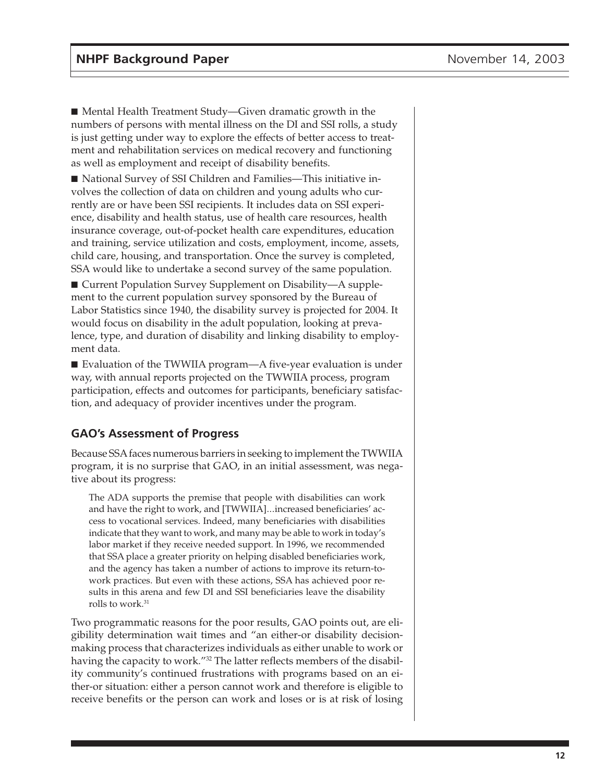<span id="page-11-0"></span>■ Mental Health Treatment Study—Given dramatic growth in the numbers of persons with mental illness on the DI and SSI rolls, a study is just getting under way to explore the effects of better access to treatment and rehabilitation services on medical recovery and functioning as well as employment and receipt of disability benefits.

■ National Survey of SSI Children and Families—This initiative involves the collection of data on children and young adults who currently are or have been SSI recipients. It includes data on SSI experience, disability and health status, use of health care resources, health insurance coverage, out-of-pocket health care expenditures, education and training, service utilization and costs, employment, income, assets, child care, housing, and transportation. Once the survey is completed, SSA would like to undertake a second survey of the same population.

■ Current Population Survey Supplement on Disability—A supplement to the current population survey sponsored by the Bureau of Labor Statistics since 1940, the disability survey is projected for 2004. It would focus on disability in the adult population, looking at prevalence, type, and duration of disability and linking disability to employment data.

■ Evaluation of the TWWIIA program—A five-year evaluation is under way, with annual reports projected on the TWWIIA process, program participation, effects and outcomes for participants, beneficiary satisfaction, and adequacy of provider incentives under the program.

### **GAO's Assessment of Progress**

Because SSA faces numerous barriers in seeking to implement the TWWIIA program, it is no surprise that GAO, in an initial assessment, was negative about its progress:

The ADA supports the premise that people with disabilities can work and have the right to work, and [TWWIIA]...increased beneficiaries' access to vocational services. Indeed, many beneficiaries with disabilities indicate that they want to work, and many may be able to work in today's labor market if they receive needed support. In 1996, we recommended that SSA place a greater priority on helping disabled beneficiaries work, and the agency has taken a number of actions to improve its return-towork practices. But even with these actions, SSA has achieved poor results in this arena and few DI and SSI beneficiaries leave the disability rolls to work.<sup>31</sup>

Two programmatic reasons for the poor results, GAO points out, are eligibility determination wait times and "an either-or disability decisionmaking process that characterizes individuals as either unable to work or having the capacity to work."<sup>32</sup> The latter reflects members of the disability community's continued frustrations with programs based on an either-or situation: either a person cannot work and therefore is eligible to receive benefits or the person can work and loses or is at risk of losing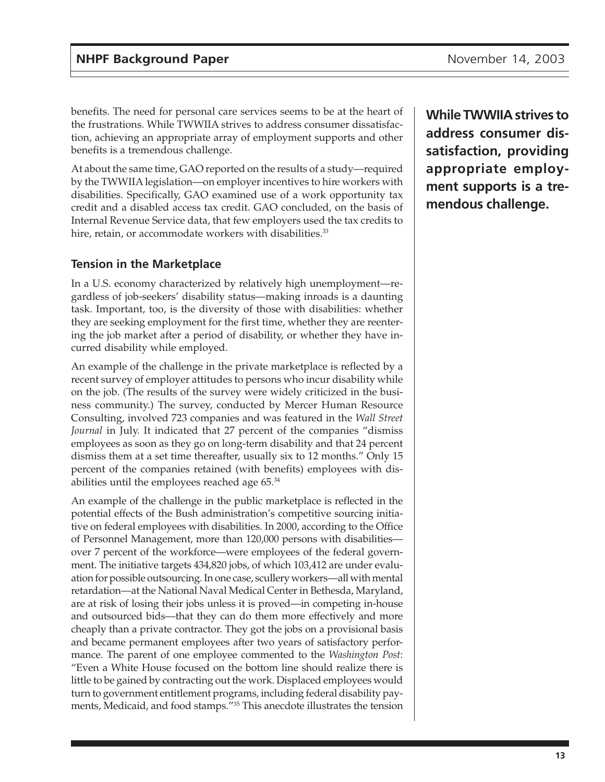<span id="page-12-0"></span>benefits. The need for personal care services seems to be at the heart of the frustrations. While TWWIIA strives to address consumer dissatisfaction, achieving an appropriate array of employment supports and other benefits is a tremendous challenge.

At about the same time, GAO reported on the results of a study—required by the TWWIIA legislation—on employer incentives to hire workers with disabilities. Specifically, GAO examined use of a work opportunity tax credit and a disabled access tax credit. GAO concluded, on the basis of Internal Revenue Service data, that few employers used the tax credits to hire, retain, or accommodate workers with disabilities.<sup>33</sup>

### **Tension in the Marketplace**

In a U.S. economy characterized by relatively high unemployment—regardless of job-seekers' disability status—making inroads is a daunting task. Important, too, is the diversity of those with disabilities: whether they are seeking employment for the first time, whether they are reentering the job market after a period of disability, or whether they have incurred disability while employed.

An example of the challenge in the private marketplace is reflected by a recent survey of employer attitudes to persons who incur disability while on the job. (The results of the survey were widely criticized in the business community.) The survey, conducted by Mercer Human Resource Consulting, involved 723 companies and was featured in the *Wall Street Journal* in July. It indicated that 27 percent of the companies "dismiss employees as soon as they go on long-term disability and that 24 percent dismiss them at a set time thereafter, usually six to 12 months." Only 15 percent of the companies retained (with benefits) employees with disabilities until the employees reached age 65.34

An example of the challenge in the public marketplace is reflected in the potential effects of the Bush administration's competitive sourcing initiative on federal employees with disabilities. In 2000, according to the Office of Personnel Management, more than 120,000 persons with disabilities over 7 percent of the workforce—were employees of the federal government. The initiative targets 434,820 jobs, of which 103,412 are under evaluation for possible outsourcing. In one case, scullery workers—all with mental retardation—at the National Naval Medical Center in Bethesda, Maryland, are at risk of losing their jobs unless it is proved—in competing in-house and outsourced bids—that they can do them more effectively and more cheaply than a private contractor. They got the jobs on a provisional basis and became permanent employees after two years of satisfactory performance. The parent of one employee commented to the *Washington Post*: "Even a White House focused on the bottom line should realize there is little to be gained by contracting out the work. Displaced employees would turn to government entitlement programs, including federal disability payments, Medicaid, and food stamps."35 This anecdote illustrates the tension **While TWWIIA strives to address consumer dissatisfaction, providing appropriate employment supports is a tremendous challenge.**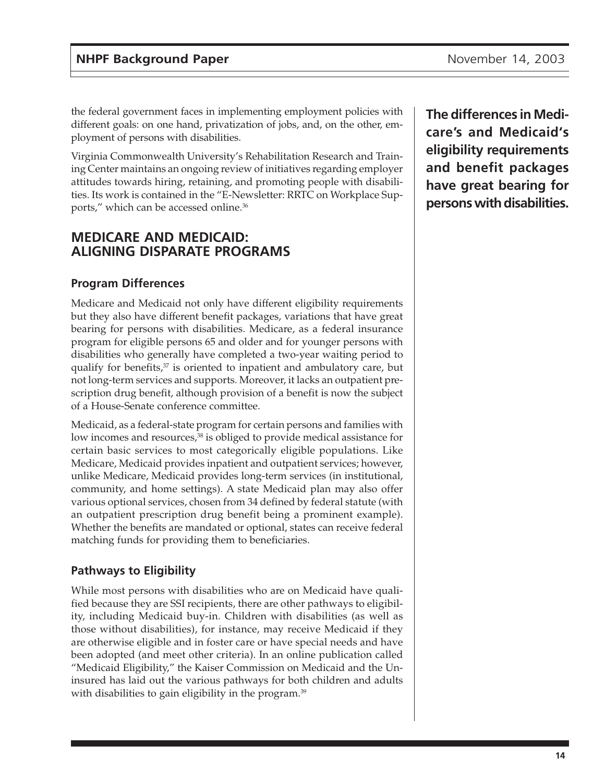<span id="page-13-0"></span>the federal government faces in implementing employment policies with different goals: on one hand, privatization of jobs, and, on the other, employment of persons with disabilities.

Virginia Commonwealth University's Rehabilitation Research and Training Center maintains an ongoing review of initiatives regarding employer attitudes towards hiring, retaining, and promoting people with disabilities. Its work is contained in the "E-Newsletter: RRTC on Workplace Supports," which can be accessed online.36

## **MEDICARE AND MEDICAID: ALIGNING DISPARATE PROGRAMS**

#### **Program Differences**

Medicare and Medicaid not only have different eligibility requirements but they also have different benefit packages, variations that have great bearing for persons with disabilities. Medicare, as a federal insurance program for eligible persons 65 and older and for younger persons with disabilities who generally have completed a two-year waiting period to qualify for benefits, $37$  is oriented to inpatient and ambulatory care, but not long-term services and supports. Moreover, it lacks an outpatient prescription drug benefit, although provision of a benefit is now the subject of a House-Senate conference committee.

Medicaid, as a federal-state program for certain persons and families with low incomes and resources,<sup>38</sup> is obliged to provide medical assistance for certain basic services to most categorically eligible populations. Like Medicare, Medicaid provides inpatient and outpatient services; however, unlike Medicare, Medicaid provides long-term services (in institutional, community, and home settings). A state Medicaid plan may also offer various optional services, chosen from 34 defined by federal statute (with an outpatient prescription drug benefit being a prominent example). Whether the benefits are mandated or optional, states can receive federal matching funds for providing them to beneficiaries.

#### **Pathways to Eligibility**

While most persons with disabilities who are on Medicaid have qualified because they are SSI recipients, there are other pathways to eligibility, including Medicaid buy-in. Children with disabilities (as well as those without disabilities), for instance, may receive Medicaid if they are otherwise eligible and in foster care or have special needs and have been adopted (and meet other criteria). In an online publication called "Medicaid Eligibility," the Kaiser Commission on Medicaid and the Uninsured has laid out the various pathways for both children and adults with disabilities to gain eligibility in the program.<sup>39</sup>

**The differences in Medicare's and Medicaid's eligibility requirements and benefit packages have great bearing for persons with disabilities.**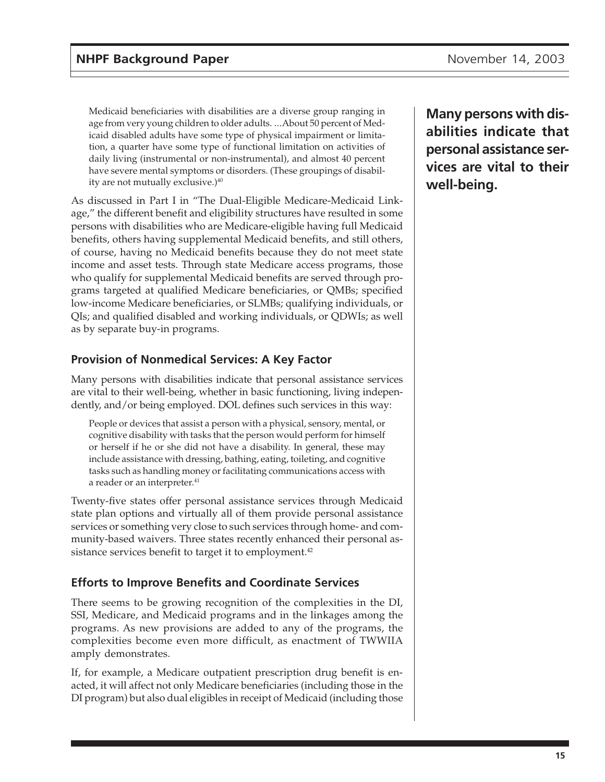<span id="page-14-0"></span>Medicaid beneficiaries with disabilities are a diverse group ranging in age from very young children to older adults. ...About 50 percent of Medicaid disabled adults have some type of physical impairment or limitation, a quarter have some type of functional limitation on activities of daily living (instrumental or non-instrumental), and almost 40 percent have severe mental symptoms or disorders. (These groupings of disability are not mutually exclusive.)<sup>40</sup>

As discussed in Part I in "The Dual-Eligible Medicare-Medicaid Linkage," the different benefit and eligibility structures have resulted in some persons with disabilities who are Medicare-eligible having full Medicaid benefits, others having supplemental Medicaid benefits, and still others, of course, having no Medicaid benefits because they do not meet state income and asset tests. Through state Medicare access programs, those who qualify for supplemental Medicaid benefits are served through programs targeted at qualified Medicare beneficiaries, or QMBs; specified low-income Medicare beneficiaries, or SLMBs; qualifying individuals, or QIs; and qualified disabled and working individuals, or QDWIs; as well as by separate buy-in programs.

### **Provision of Nonmedical Services: A Key Factor**

Many persons with disabilities indicate that personal assistance services are vital to their well-being, whether in basic functioning, living independently, and/or being employed. DOL defines such services in this way:

People or devices that assist a person with a physical, sensory, mental, or cognitive disability with tasks that the person would perform for himself or herself if he or she did not have a disability. In general, these may include assistance with dressing, bathing, eating, toileting, and cognitive tasks such as handling money or facilitating communications access with a reader or an interpreter.<sup>41</sup>

Twenty-five states offer personal assistance services through Medicaid state plan options and virtually all of them provide personal assistance services or something very close to such services through home- and community-based waivers. Three states recently enhanced their personal assistance services benefit to target it to employment.<sup>42</sup>

### **Efforts to Improve Benefits and Coordinate Services**

There seems to be growing recognition of the complexities in the DI, SSI, Medicare, and Medicaid programs and in the linkages among the programs. As new provisions are added to any of the programs, the complexities become even more difficult, as enactment of TWWIIA amply demonstrates.

If, for example, a Medicare outpatient prescription drug benefit is enacted, it will affect not only Medicare beneficiaries (including those in the DI program) but also dual eligibles in receipt of Medicaid (including those **Many persons with disabilities indicate that personal assistance services are vital to their well-being.**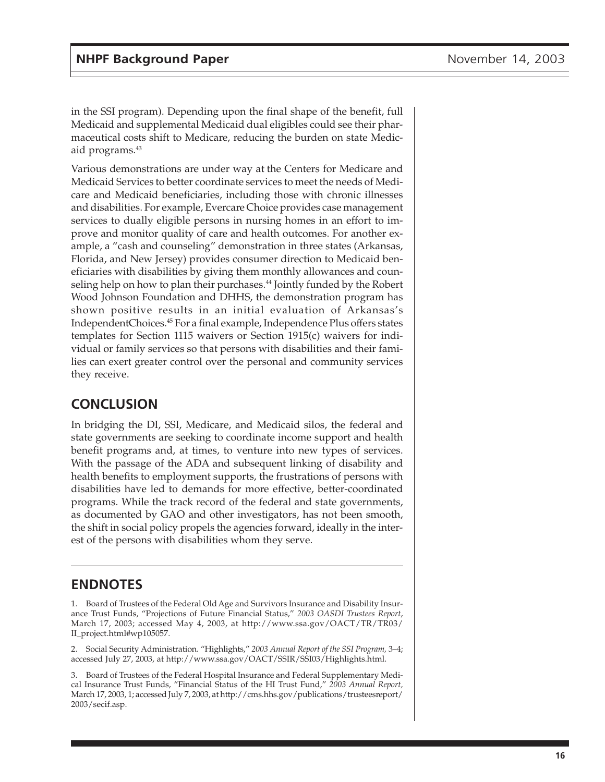<span id="page-15-0"></span>in the SSI program). Depending upon the final shape of the benefit, full Medicaid and supplemental Medicaid dual eligibles could see their pharmaceutical costs shift to Medicare, reducing the burden on state Medicaid programs.<sup>43</sup>

Various demonstrations are under way at the Centers for Medicare and Medicaid Services to better coordinate services to meet the needs of Medicare and Medicaid beneficiaries, including those with chronic illnesses and disabilities. For example, Evercare Choice provides case management services to dually eligible persons in nursing homes in an effort to improve and monitor quality of care and health outcomes. For another example, a "cash and counseling" demonstration in three states (Arkansas, Florida, and New Jersey) provides consumer direction to Medicaid beneficiaries with disabilities by giving them monthly allowances and counseling help on how to plan their purchases.<sup>44</sup> Jointly funded by the Robert Wood Johnson Foundation and DHHS, the demonstration program has shown positive results in an initial evaluation of Arkansas's IndependentChoices.45 For a final example, Independence Plus offers states templates for Section 1115 waivers or Section 1915(c) waivers for individual or family services so that persons with disabilities and their families can exert greater control over the personal and community services they receive.

## **CONCLUSION**

In bridging the DI, SSI, Medicare, and Medicaid silos, the federal and state governments are seeking to coordinate income support and health benefit programs and, at times, to venture into new types of services. With the passage of the ADA and subsequent linking of disability and health benefits to employment supports, the frustrations of persons with disabilities have led to demands for more effective, better-coordinated programs. While the track record of the federal and state governments, as documented by GAO and other investigators, has not been smooth, the shift in social policy propels the agencies forward, ideally in the interest of the persons with disabilities whom they serve.

## **ENDNOTES**

1. Board of Trustees of the Federal Old Age and Survivors Insurance and Disability Insurance Trust Funds, "Projections of Future Financial Status," *2003 OASDI Trustees Report*, March 17, 2003; accessed May 4, 2003, at http://www.ssa.gov/OACT/TR/TR03/ II\_project.html#wp105057.

2. Social Security Administration. "Highlights," *2003 Annual Report of the SSI Program,* 3–4; accessed July 27, 2003, at http://www.ssa.gov/OACT/SSIR/SSI03/Highlights.html.

3. Board of Trustees of the Federal Hospital Insurance and Federal Supplementary Medical Insurance Trust Funds, "Financial Status of the HI Trust Fund," *2003 Annual Report,* March 17, 2003, 1; accessed July 7, 2003, at http://cms.hhs.gov/publications/trusteesreport/ 2003/secif.asp.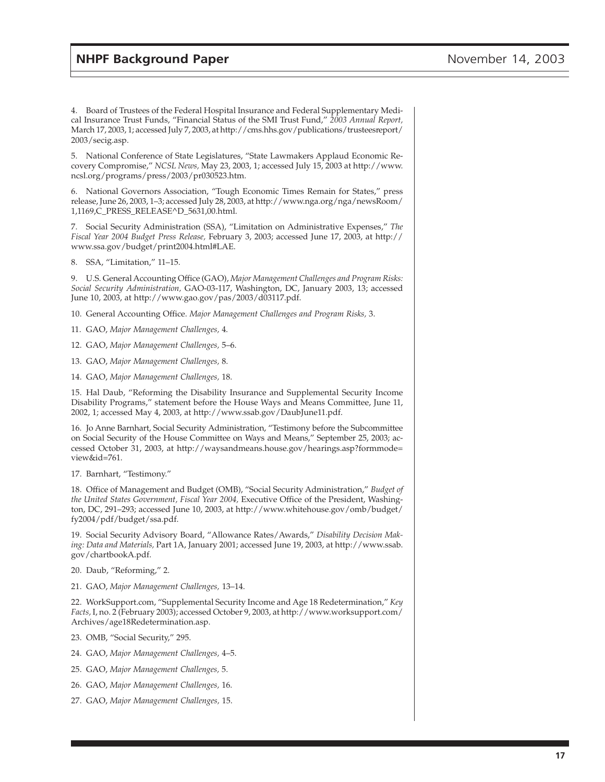4. Board of Trustees of the Federal Hospital Insurance and Federal Supplementary Medical Insurance Trust Funds, "Financial Status of the SMI Trust Fund," *2003 Annual Report,* March 17, 2003, 1; accessed July 7, 2003, at http://cms.hhs.gov/publications/trusteesreport/ 2003/secig.asp.

5. National Conference of State Legislatures, "State Lawmakers Applaud Economic Recovery Compromise," *NCSL News,* May 23, 2003, 1; accessed July 15, 2003 at http://www. ncsl.org/programs/press/2003/pr030523.htm.

6. National Governors Association, "Tough Economic Times Remain for States," press release, June 26, 2003, 1–3; accessed July 28, 2003, at http://www.nga.org/nga/newsRoom/ 1,1169,C\_PRESS\_RELEASE^D\_5631,00.html.

7. Social Security Administration (SSA), "Limitation on Administrative Expenses," *The Fiscal Year 2004 Budget Press Release,* February 3, 2003; accessed June 17, 2003, at http:// www.ssa.gov/budget/print2004.html#LAE.

8. SSA, "Limitation," 11–15.

9. U.S. General Accounting Office (GAO), *Major Management Challenges and Program Risks: Social Security Administration,* GAO-03-117, Washington, DC, January 2003, 13; accessed June 10, 2003, at http://www.gao.gov/pas/2003/d03117.pdf.

10. General Accounting Office. *Major Management Challenges and Program Risks,* 3.

11. GAO, *Major Management Challenges,* 4.

12. GAO, *Major Management Challenges,* 5–6.

13. GAO, *Major Management Challenges,* 8.

14. GAO, *Major Management Challenges,* 18.

15. Hal Daub, "Reforming the Disability Insurance and Supplemental Security Income Disability Programs," statement before the House Ways and Means Committee, June 11, 2002, 1; accessed May 4, 2003, at http://www.ssab.gov/DaubJune11.pdf.

16. Jo Anne Barnhart, Social Security Administration, "Testimony before the Subcommittee on Social Security of the House Committee on Ways and Means," September 25, 2003; accessed October 31, 2003, at http://waysandmeans.house.gov/hearings.asp?formmode= view&id=761.

17. Barnhart, "Testimony."

18. Office of Management and Budget (OMB), "Social Security Administration," *Budget of the United States Government, Fiscal Year 2004, Executive Office of the President, Washing*ton, DC, 291–293; accessed June 10, 2003, at http://www.whitehouse.gov/omb/budget/ fy2004/pdf/budget/ssa.pdf.

19. Social Security Advisory Board, "Allowance Rates/Awards," *Disability Decision Making: Data and Materials,* Part 1A, January 2001; accessed June 19, 2003, at http://www.ssab. gov/chartbookA.pdf.

20. Daub, "Reforming," 2.

21. GAO, *Major Management Challenges,* 13–14.

22. WorkSupport.com, "Supplemental Security Income and Age 18 Redetermination," *Key Facts,* I, no. 2 (February 2003); accessed October 9, 2003, at http://www.worksupport.com/ Archives/age18Redetermination.asp.

23. OMB, "Social Security," 295.

24. GAO, *Major Management Challenges,* 4–5.

25. GAO, *Major Management Challenges,* 5.

26. GAO, *Major Management Challenges,* 16.

27. GAO, *Major Management Challenges,* 15.